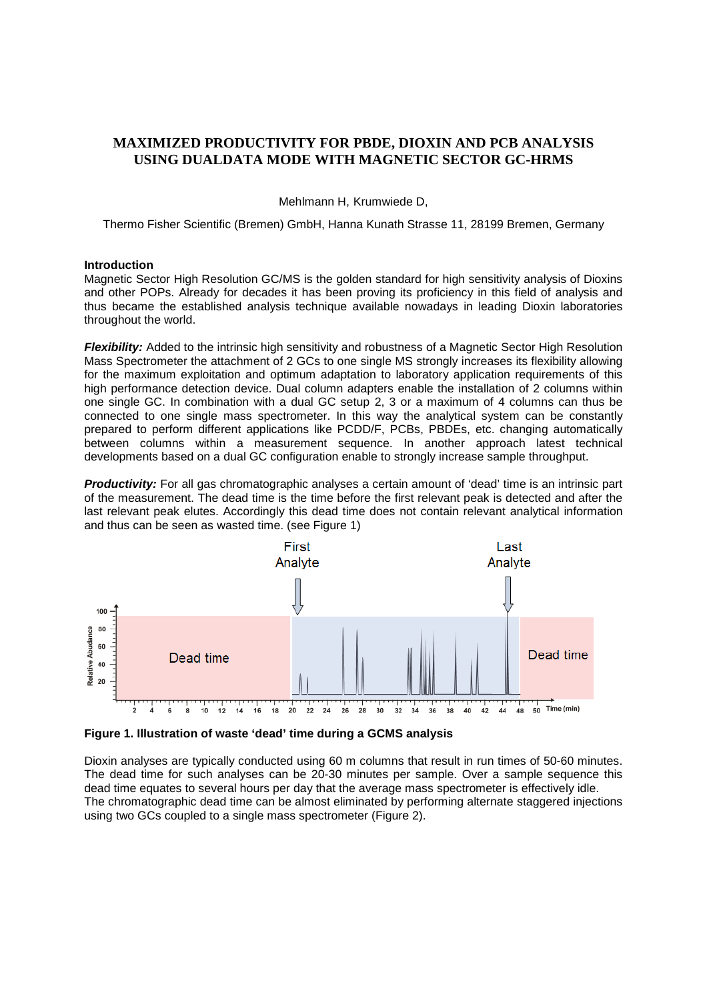# **MAXIMIZED PRODUCTIVITY FOR PBDE, DIOXIN AND PCB ANALYSIS USING DUALDATA MODE WITH MAGNETIC SECTOR GC-HRMS**

Mehlmann H, Krumwiede D,

Thermo Fisher Scientific (Bremen) GmbH, Hanna Kunath Strasse 11, 28199 Bremen, Germany

#### **Introduction**

Magnetic Sector High Resolution GC/MS is the golden standard for high sensitivity analysis of Dioxins and other POPs. Already for decades it has been proving its proficiency in this field of analysis and thus became the established analysis technique available nowadays in leading Dioxin laboratories throughout the world.

*Flexibility:* Added to the intrinsic high sensitivity and robustness of a Magnetic Sector High Resolution Mass Spectrometer the attachment of 2 GCs to one single MS strongly increases its flexibility allowing for the maximum exploitation and optimum adaptation to laboratory application requirements of this high performance detection device. Dual column adapters enable the installation of 2 columns within one single GC. In combination with a dual GC setup 2, 3 or a maximum of 4 columns can thus be connected to one single mass spectrometer. In this way the analytical system can be constantly prepared to perform different applications like PCDD/F, PCBs, PBDEs, etc. changing automatically between columns within a measurement sequence. In another approach latest technical developments based on a dual GC configuration enable to strongly increase sample throughput.

**Productivity:** For all gas chromatographic analyses a certain amount of 'dead' time is an intrinsic part of the measurement. The dead time is the time before the first relevant peak is detected and after the last relevant peak elutes. Accordingly this dead time does not contain relevant analytical information and thus can be seen as wasted time. (see Figure 1)



**Figure 1. Illustration of waste 'dead' time during a GCMS analysis**

Dioxin analyses are typically conducted using 60 m columns that result in run times of 50-60 minutes. The dead time for such analyses can be 20-30 minutes per sample. Over a sample sequence this dead time equates to several hours per day that the average mass spectrometer is effectively idle. The chromatographic dead time can be almost eliminated by performing alternate staggered injections using two GCs coupled to a single mass spectrometer (Figure 2).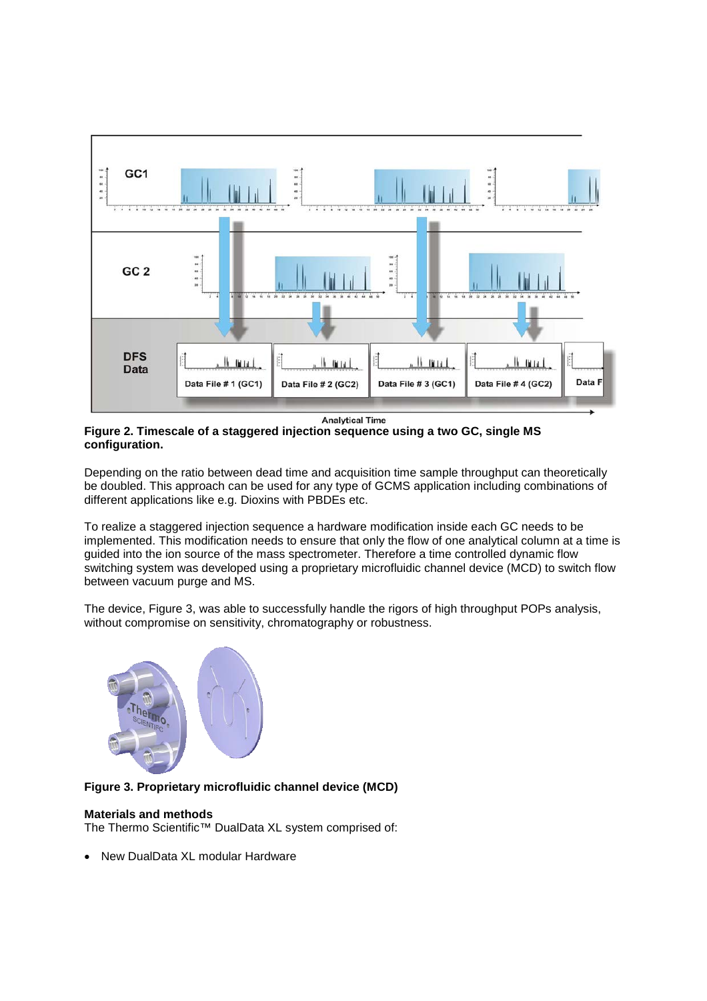

**Figure 2. Timescale of a staggered injection sequence using a two GC, single MS configuration.** 

Depending on the ratio between dead time and acquisition time sample throughput can theoretically be doubled. This approach can be used for any type of GCMS application including combinations of different applications like e.g. Dioxins with PBDEs etc.

To realize a staggered injection sequence a hardware modification inside each GC needs to be implemented. This modification needs to ensure that only the flow of one analytical column at a time is guided into the ion source of the mass spectrometer. Therefore a time controlled dynamic flow switching system was developed using a proprietary microfluidic channel device (MCD) to switch flow between vacuum purge and MS.

The device, Figure 3, was able to successfully handle the rigors of high throughput POPs analysis, without compromise on sensitivity, chromatography or robustness.



## **Figure 3. Proprietary microfluidic channel device (MCD)**

## **Materials and methods**

The Thermo Scientific™ DualData XL system comprised of:

• New DualData XL modular Hardware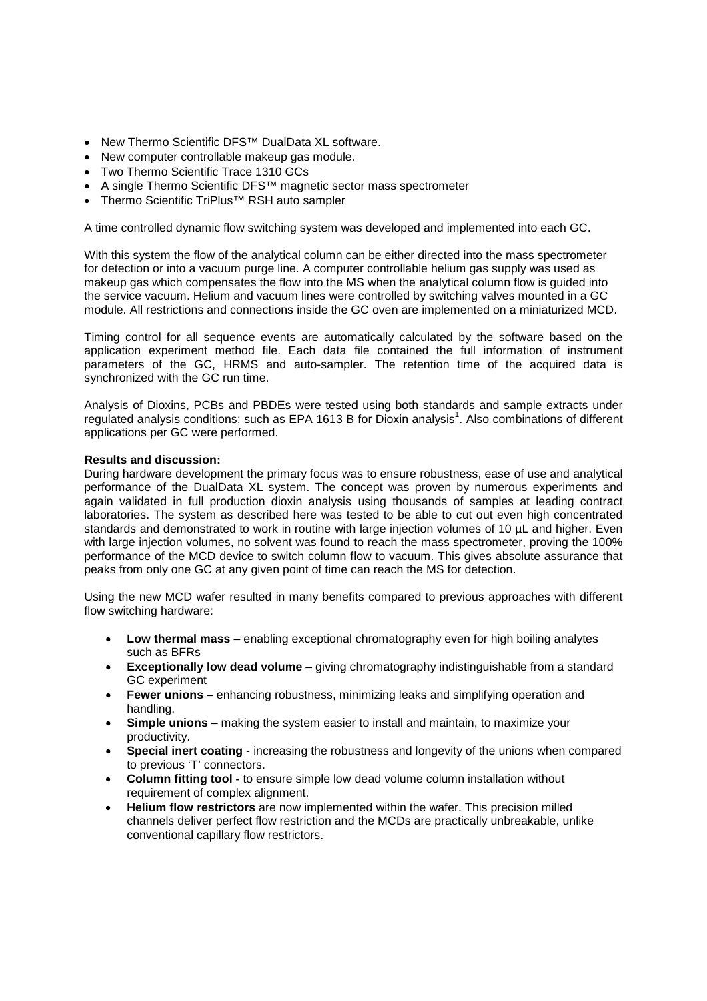- New Thermo Scientific DFS™ DualData XL software.
- New computer controllable makeup gas module.
- Two Thermo Scientific Trace 1310 GCs
- A single Thermo Scientific DFS™ magnetic sector mass spectrometer
- Thermo Scientific TriPlus™ RSH auto sampler

A time controlled dynamic flow switching system was developed and implemented into each GC.

With this system the flow of the analytical column can be either directed into the mass spectrometer for detection or into a vacuum purge line. A computer controllable helium gas supply was used as makeup gas which compensates the flow into the MS when the analytical column flow is guided into the service vacuum. Helium and vacuum lines were controlled by switching valves mounted in a GC module. All restrictions and connections inside the GC oven are implemented on a miniaturized MCD.

Timing control for all sequence events are automatically calculated by the software based on the application experiment method file. Each data file contained the full information of instrument parameters of the GC, HRMS and auto-sampler. The retention time of the acquired data is synchronized with the GC run time.

Analysis of Dioxins, PCBs and PBDEs were tested using both standards and sample extracts under regulated analysis conditions; such as EPA 1613 B for Dioxin analysis<sup>1</sup>. Also combinations of different applications per GC were performed.

### **Results and discussion:**

During hardware development the primary focus was to ensure robustness, ease of use and analytical performance of the DualData XL system. The concept was proven by numerous experiments and again validated in full production dioxin analysis using thousands of samples at leading contract laboratories. The system as described here was tested to be able to cut out even high concentrated standards and demonstrated to work in routine with large injection volumes of 10 µL and higher. Even with large injection volumes, no solvent was found to reach the mass spectrometer, proving the 100% performance of the MCD device to switch column flow to vacuum. This gives absolute assurance that peaks from only one GC at any given point of time can reach the MS for detection.

Using the new MCD wafer resulted in many benefits compared to previous approaches with different flow switching hardware:

- **Low thermal mass** enabling exceptional chromatography even for high boiling analytes such as BFRs
- **Exceptionally low dead volume** giving chromatography indistinguishable from a standard GC experiment
- **Fewer unions** enhancing robustness, minimizing leaks and simplifying operation and handling.
- **Simple unions** making the system easier to install and maintain, to maximize your productivity.
- **Special inert coating** increasing the robustness and longevity of the unions when compared to previous 'T' connectors.
- **Column fitting tool -** to ensure simple low dead volume column installation without requirement of complex alignment.
- **Helium flow restrictors** are now implemented within the wafer. This precision milled channels deliver perfect flow restriction and the MCDs are practically unbreakable, unlike conventional capillary flow restrictors.